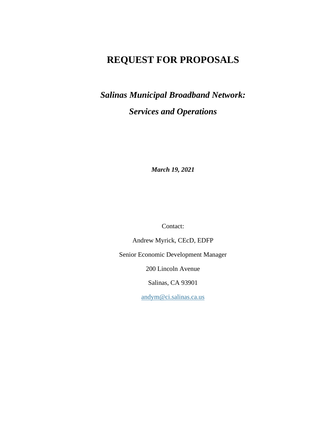# **REQUEST FOR PROPOSALS**

*Salinas Municipal Broadband Network: Services and Operations*

*March 19, 2021*

Contact:

Andrew Myrick, CEcD, EDFP

Senior Economic Development Manager

200 Lincoln Avenue

Salinas, CA 93901

[andym@ci.salinas.ca.us](mailto:andym@ci.salinas.ca.us)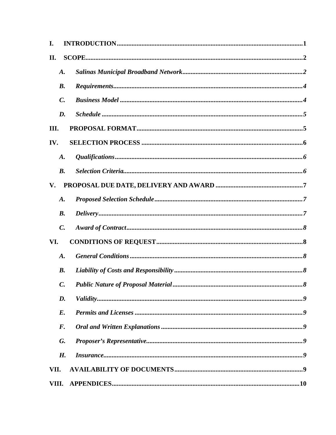| I.    |                    |  |
|-------|--------------------|--|
| II.   |                    |  |
|       | A.                 |  |
|       | $\boldsymbol{B}$ . |  |
|       | $\mathcal{C}$ .    |  |
|       | D.                 |  |
| Ш.    |                    |  |
| IV.   |                    |  |
|       | $\boldsymbol{A}$ . |  |
|       | <b>B.</b>          |  |
| V.    |                    |  |
|       | $\boldsymbol{A}$ . |  |
|       | <b>B.</b>          |  |
|       | $\mathcal{C}$ .    |  |
| VI.   |                    |  |
|       | $\boldsymbol{A}$ . |  |
|       | <b>B.</b>          |  |
|       | C.                 |  |
|       | D.                 |  |
|       | $E$ .              |  |
|       | $\boldsymbol{F}$ . |  |
|       | G.                 |  |
|       | H.                 |  |
| VII.  |                    |  |
| VIII. |                    |  |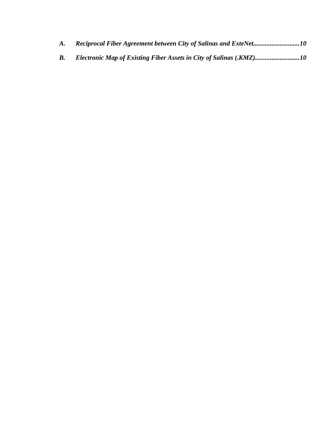| <b>A.</b> | Reciprocal Fiber Agreement between City of Salinas and ExteNet10    |
|-----------|---------------------------------------------------------------------|
|           | Electronic Map of Existing Fiber Assets in City of Salinas (.KMZ)10 |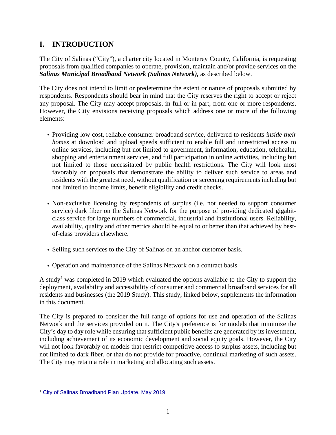## **I. INTRODUCTION**

The City of Salinas ("City"), a charter city located in Monterey County, California, is requesting proposals from qualified companies to operate, provision, maintain and/or provide services on the *Salinas Municipal Broadband Network (Salinas Network),* as described below.

The City does not intend to limit or predetermine the extent or nature of proposals submitted by respondents. Respondents should bear in mind that the City reserves the right to accept or reject any proposal. The City may accept proposals, in full or in part, from one or more respondents. However, the City envisions receiving proposals which address one or more of the following elements:

- Providing low cost, reliable consumer broadband service, delivered to residents *inside their homes* at download and upload speeds sufficient to enable full and unrestricted access to online services, including but not limited to government, information, education, telehealth, shopping and entertainment services, and full participation in online activities, including but not limited to those necessitated by public health restrictions. The City will look most favorably on proposals that demonstrate the ability to deliver such service to areas and residents with the greatest need, without qualification or screening requirements including but not limited to income limits, benefit eligibility and credit checks.
- Non-exclusive licensing by respondents of surplus (i.e. not needed to support consumer service) dark fiber on the Salinas Network for the purpose of providing dedicated gigabitclass service for large numbers of commercial, industrial and institutional users. Reliability, availability, quality and other metrics should be equal to or better than that achieved by bestof-class providers elsewhere.
- Selling such services to the City of Salinas on an anchor customer basis.
- Operation and maintenance of the Salinas Network on a contract basis.

A study<sup>[1](#page-3-0)</sup> was completed in 2019 which evaluated the options available to the City to support the deployment, availability and accessibility of consumer and commercial broadband services for all residents and businesses (the 2019 Study). This study, linked below, supplements the information in this document.

The City is prepared to consider the full range of options for use and operation of the Salinas Network and the services provided on it. The City's preference is for models that minimize the City's day to day role while ensuring that sufficient public benefits are generated by its investment, including achievement of its economic development and social equity goals. However, the City will not look favorably on models that restrict competitive access to surplus assets, including but not limited to dark fiber, or that do not provide for proactive, continual marketing of such assets. The City may retain a role in marketing and allocating such assets.

<span id="page-3-0"></span><sup>1</sup> City of Salinas [Broadband](http://tellusventure.com/downloads/salinas/salinas_broadband_plan_update_24may2019.pdf) Plan Update, May 2019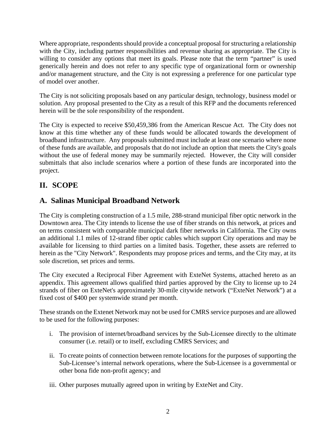Where appropriate, respondents should provide a conceptual proposal for structuring a relationship with the City, including partner responsibilities and revenue sharing as appropriate. The City is willing to consider any options that meet its goals. Please note that the term "partner" is used generically herein and does not refer to any specific type of organizational form or ownership and/or management structure, and the City is not expressing a preference for one particular type of model over another.

The City is not soliciting proposals based on any particular design, technology, business model or solution. Any proposal presented to the City as a result of this RFP and the documents referenced herein will be the sole responsibility of the respondent.

The City is expected to receive \$50,459,386 from the American Rescue Act. The City does not know at this time whether any of these funds would be allocated towards the development of broadband infrastructure. Any proposals submitted must include at least one scenario where none of these funds are available, and proposals that do not include an option that meets the City's goals without the use of federal money may be summarily rejected. However, the City will consider submittals that also include scenarios where a portion of these funds are incorporated into the project.

# **II. SCOPE**

### **A. Salinas Municipal Broadband Network**

The City is completing construction of a 1.5 mile, 288-strand municipal fiber optic network in the Downtown area. The City intends to license the use of fiber strands on this network, at prices and on terms consistent with comparable municipal dark fiber networks in California. The City owns an additional 1.1 miles of 12-strand fiber optic cables which support City operations and may be available for licensing to third parties on a limited basis. Together, these assets are referred to herein as the "City Network". Respondents may propose prices and terms, and the City may, at its sole discretion, set prices and terms.

The City executed a Reciprocal Fiber Agreement with ExteNet Systems, attached hereto as an appendix. This agreement allows qualified third parties approved by the City to license up to 24 strands of fiber on ExteNet's approximately 30-mile citywide network ("ExteNet Network") at a fixed cost of \$400 per systemwide strand per month.

These strands on the Extenet Network may not be used for CMRS service purposes and are allowed to be used for the following purposes:

- i. The provision of internet/broadband services by the Sub-Licensee directly to the ultimate consumer (i.e. retail) or to itself, excluding CMRS Services; and
- ii. To create points of connection between remote locations for the purposes of supporting the Sub-Licensee's internal network operations, where the Sub-Licensee is a governmental or other bona fide non-profit agency; and
- iii. Other purposes mutually agreed upon in writing by ExteNet and City.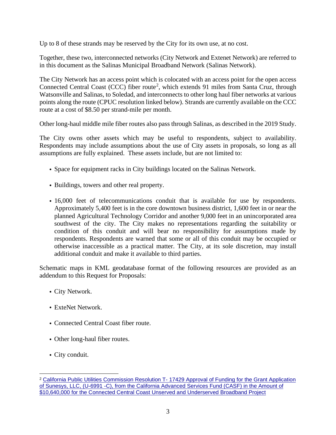Up to 8 of these strands may be reserved by the City for its own use, at no cost.

Together, these two, interconnected networks (City Network and Extenet Network) are referred to in this document as the Salinas Municipal Broadband Network (Salinas Network).

The City Network has an access point which is colocated with an access point for the open access Connected Central Coast (CCC) fiber route<sup>[2](#page-5-0)</sup>, which extends 91 miles from Santa Cruz, through Watsonville and Salinas, to Soledad, and interconnects to other long haul fiber networks at various points along the route (CPUC resolution linked below). Strands are currently available on the CCC route at a cost of \$8.50 per strand-mile per month.

Other long-haul middle mile fiber routes also pass through Salinas, as described in the 2019 Study.

The City owns other assets which may be useful to respondents, subject to availability. Respondents may include assumptions about the use of City assets in proposals, so long as all assumptions are fully explained. These assets include, but are not limited to:

- Space for equipment racks in City buildings located on the Salinas Network.
- Buildings, towers and other real property.
- 16,000 feet of telecommunications conduit that is available for use by respondents. Approximately 5,400 feet is in the core downtown business district, 1,600 feet in or near the planned Agricultural Technology Corridor and another 9,000 feet in an unincorporated area southwest of the city. The City makes no representations regarding the suitability or condition of this conduit and will bear no responsibility for assumptions made by respondents. Respondents are warned that some or all of this conduit may be occupied or otherwise inaccessible as a practical matter. The City, at its sole discretion, may install additional conduit and make it available to third parties.

Schematic maps in KML geodatabase format of the following resources are provided as an addendum to this Request for Proposals:

- City Network.
- ExteNet Network.
- Connected Central Coast fiber route.
- Other long-haul fiber routes.
- City conduit.

<span id="page-5-0"></span><sup>2</sup> California Public Utilities [Commission](http://tellusventure.com/downloads/salinas/cpuc_final_resolution_sunesys_10apr2014.pdf) Resolution T- 17429 Approval of Funding for the Grant Application of Sunesys, LLC, (U-6991 -C), from the California [Advanced](http://tellusventure.com/downloads/salinas/cpuc_final_resolution_sunesys_10apr2014.pdf) Services Fund (CASF) in the Amount of \$10,640,000 for the Connected Central Coast Unserved and [Underserved](http://tellusventure.com/downloads/salinas/cpuc_final_resolution_sunesys_10apr2014.pdf) Broadband Project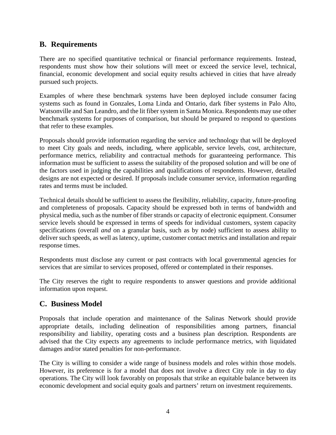### **B. Requirements**

There are no specified quantitative technical or financial performance requirements. Instead, respondents must show how their solutions will meet or exceed the service level, technical, financial, economic development and social equity results achieved in cities that have already pursued such projects.

Examples of where these benchmark systems have been deployed include consumer facing systems such as found in Gonzales, Loma Linda and Ontario, dark fiber systems in Palo Alto, Watsonville and San Leandro, and the lit fiber system in Santa Monica. Respondents may use other benchmark systems for purposes of comparison, but should be prepared to respond to questions that refer to these examples.

Proposals should provide information regarding the service and technology that will be deployed to meet City goals and needs, including, where applicable, service levels, cost, architecture, performance metrics, reliability and contractual methods for guaranteeing performance. This information must be sufficient to assess the suitability of the proposed solution and will be one of the factors used in judging the capabilities and qualifications of respondents. However, detailed designs are not expected or desired. If proposals include consumer service, information regarding rates and terms must be included.

Technical details should be sufficient to assess the flexibility, reliability, capacity, future-proofing and completeness of proposals. Capacity should be expressed both in terms of bandwidth and physical media, such as the number of fiber strands or capacity of electronic equipment. Consumer service levels should be expressed in terms of speeds for individual customers, system capacity specifications (overall *and* on a granular basis, such as by node) sufficient to assess ability to deliver such speeds, as well as latency, uptime, customer contact metrics and installation and repair response times.

Respondents must disclose any current or past contracts with local governmental agencies for services that are similar to services proposed, offered or contemplated in their responses.

The City reserves the right to require respondents to answer questions and provide additional information upon request.

### **C. Business Model**

Proposals that include operation and maintenance of the Salinas Network should provide appropriate details, including delineation of responsibilities among partners, financial responsibility and liability, operating costs and a business plan description. Respondents are advised that the City expects any agreements to include performance metrics, with liquidated damages and/or stated penalties for non-performance.

The City is willing to consider a wide range of business models and roles within those models. However, its preference is for a model that does not involve a direct City role in day to day operations. The City will look favorably on proposals that strike an equitable balance between its economic development and social equity goals and partners' return on investment requirements.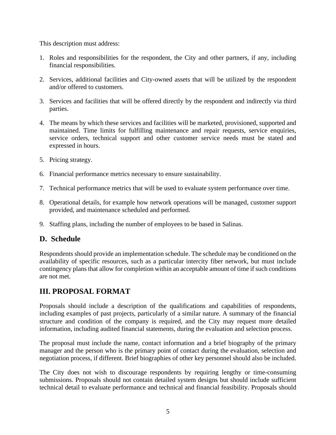This description must address:

- 1. Roles and responsibilities for the respondent, the City and other partners, if any, including financial responsibilities.
- 2. Services, additional facilities and City-owned assets that will be utilized by the respondent and/or offered to customers.
- 3. Services and facilities that will be offered directly by the respondent and indirectly via third parties.
- 4. The means by which these services and facilities will be marketed, provisioned, supported and maintained. Time limits for fulfilling maintenance and repair requests, service enquiries, service orders, technical support and other customer service needs must be stated and expressed in hours.
- 5. Pricing strategy.
- 6. Financial performance metrics necessary to ensure sustainability.
- 7. Technical performance metrics that will be used to evaluate system performance over time.
- 8. Operational details, for example how network operations will be managed, customer support provided, and maintenance scheduled and performed.
- 9. Staffing plans, including the number of employees to be based in Salinas.

### **D. Schedule**

Respondents should provide an implementation schedule. The schedule may be conditioned on the availability of specific resources, such as a particular intercity fiber network, but must include contingency plans that allow for completion within an acceptable amount of time if such conditions are not met.

### **III. PROPOSAL FORMAT**

Proposals should include a description of the qualifications and capabilities of respondents, including examples of past projects, particularly of a similar nature. A summary of the financial structure and condition of the company is required, and the City may request more detailed information, including audited financial statements, during the evaluation and selection process.

The proposal must include the name, contact information and a brief biography of the primary manager and the person who is the primary point of contact during the evaluation, selection and negotiation process, if different. Brief biographies of other key personnel should also be included.

The City does not wish to discourage respondents by requiring lengthy or time-consuming submissions. Proposals should not contain detailed system designs but should include sufficient technical detail to evaluate performance and technical and financial feasibility. Proposals should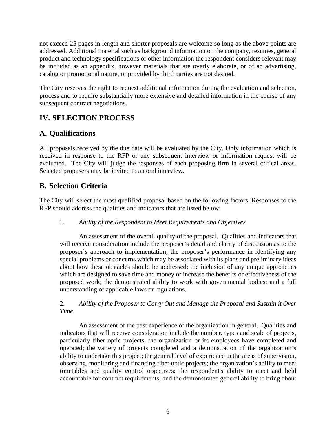not exceed 25 pages in length and shorter proposals are welcome so long as the above points are addressed. Additional material such as background information on the company, resumes, general product and technology specifications or other information the respondent considers relevant may be included as an appendix, however materials that are overly elaborate, or of an advertising, catalog or promotional nature, or provided by third parties are not desired.

The City reserves the right to request additional information during the evaluation and selection, process and to require substantially more extensive and detailed information in the course of any subsequent contract negotiations.

### **IV. SELECTION PROCESS**

## **A. Qualifications**

All proposals received by the due date will be evaluated by the City. Only information which is received in response to the RFP or any subsequent interview or information request will be evaluated. The City will judge the responses of each proposing firm in several critical areas. Selected proposers may be invited to an oral interview.

### **B. Selection Criteria**

The City will select the most qualified proposal based on the following factors. Responses to the RFP should address the qualities and indicators that are listed below:

#### 1. *Ability of the Respondent to Meet Requirements and Objectives.*

An assessment of the overall quality of the proposal. Qualities and indicators that will receive consideration include the proposer's detail and clarity of discussion as to the proposer's approach to implementation; the proposer's performance in identifying any special problems or concerns which may be associated with its plans and preliminary ideas about how these obstacles should be addressed; the inclusion of any unique approaches which are designed to save time and money or increase the benefits or effectiveness of the proposed work; the demonstrated ability to work with governmental bodies; and a full understanding of applicable laws or regulations.

#### 2. *Ability of the Proposer to Carry Out and Manage the Proposal and Sustain it Over Time.*

An assessment of the past experience of the organization in general. Qualities and indicators that will receive consideration include the number, types and scale of projects, particularly fiber optic projects, the organization or its employees have completed and operated; the variety of projects completed and a demonstration of the organization's ability to undertake this project; the general level of experience in the areas of supervision, observing, monitoring and financing fiber optic projects; the organization's ability to meet timetables and quality control objectives; the respondent's ability to meet and held accountable for contract requirements; and the demonstrated general ability to bring about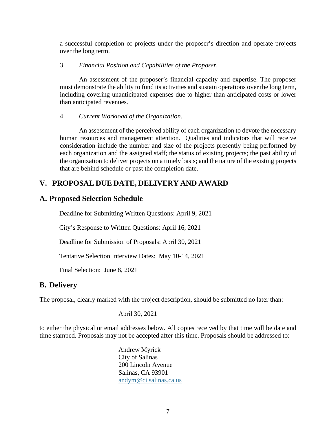a successful completion of projects under the proposer's direction and operate projects over the long term.

#### 3. *Financial Position and Capabilities of the Proposer.*

An assessment of the proposer's financial capacity and expertise. The proposer must demonstrate the ability to fund its activities and sustain operations over the long term, including covering unanticipated expenses due to higher than anticipated costs or lower than anticipated revenues.

#### 4. *Current Workload of the Organization.*

An assessment of the perceived ability of each organization to devote the necessary human resources and management attention. Qualities and indicators that will receive consideration include the number and size of the projects presently being performed by each organization and the assigned staff; the status of existing projects; the past ability of the organization to deliver projects on a timely basis; and the nature of the existing projects that are behind schedule or past the completion date.

### **V. PROPOSAL DUE DATE, DELIVERY AND AWARD**

#### **A. Proposed Selection Schedule**

Deadline for Submitting Written Questions: April 9, 2021

City's Response to Written Questions: April 16, 2021

Deadline for Submission of Proposals: April 30, 2021

Tentative Selection Interview Dates: May 10-14, 2021

Final Selection: June 8, 2021

#### **B. Delivery**

The proposal, clearly marked with the project description, should be submitted no later than:

April 30, 2021

to either the physical or email addresses below. All copies received by that time will be date and time stamped. Proposals may not be accepted after this time. Proposals should be addressed to:

> Andrew Myrick City of Salinas 200 Lincoln Avenue Salinas, CA 93901 [andym@ci.salinas.ca.us](mailto:andym@ci.salinas.ca.us)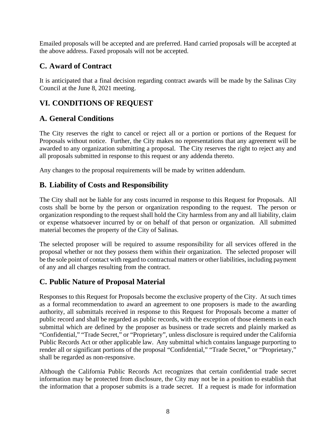Emailed proposals will be accepted and are preferred. Hand carried proposals will be accepted at the above address. Faxed proposals will not be accepted.

### **C. Award of Contract**

It is anticipated that a final decision regarding contract awards will be made by the Salinas City Council at the June 8, 2021 meeting.

### **VI. CONDITIONS OF REQUEST**

#### **A. General Conditions**

The City reserves the right to cancel or reject all or a portion or portions of the Request for Proposals without notice. Further, the City makes no representations that any agreement will be awarded to any organization submitting a proposal. The City reserves the right to reject any and all proposals submitted in response to this request or any addenda thereto.

Any changes to the proposal requirements will be made by written addendum.

#### **B. Liability of Costs and Responsibility**

The City shall not be liable for any costs incurred in response to this Request for Proposals. All costs shall be borne by the person or organization responding to the request. The person or organization responding to the request shall hold the City harmless from any and all liability, claim or expense whatsoever incurred by or on behalf of that person or organization. All submitted material becomes the property of the City of Salinas.

The selected proposer will be required to assume responsibility for all services offered in the proposal whether or not they possess them within their organization. The selected proposer will be the sole point of contact with regard to contractual matters or other liabilities, including payment of any and all charges resulting from the contract.

### **C. Public Nature of Proposal Material**

Responses to this Request for Proposals become the exclusive property of the City. At such times as a formal recommendation to award an agreement to one proposers is made to the awarding authority, all submittals received in response to this Request for Proposals become a matter of public record and shall be regarded as public records, with the exception of those elements in each submittal which are defined by the proposer as business or trade secrets and plainly marked as "Confidential," "Trade Secret," or "Proprietary", unless disclosure is required under the California Public Records Act or other applicable law. Any submittal which contains language purporting to render all or significant portions of the proposal "Confidential," "Trade Secret," or "Proprietary," shall be regarded as non-responsive.

Although the California Public Records Act recognizes that certain confidential trade secret information may be protected from disclosure, the City may not be in a position to establish that the information that a proposer submits is a trade secret. If a request is made for information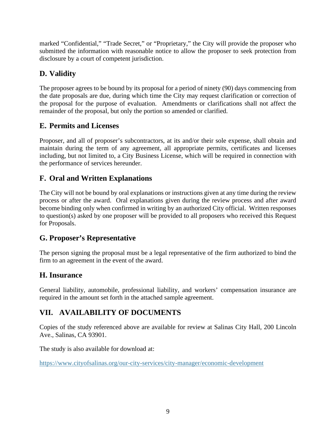marked "Confidential," "Trade Secret," or "Proprietary," the City will provide the proposer who submitted the information with reasonable notice to allow the proposer to seek protection from disclosure by a court of competent jurisdiction.

# **D. Validity**

The proposer agrees to be bound by its proposal for a period of ninety (90) days commencing from the date proposals are due, during which time the City may request clarification or correction of the proposal for the purpose of evaluation. Amendments or clarifications shall not affect the remainder of the proposal, but only the portion so amended or clarified.

### **E. Permits and Licenses**

Proposer, and all of proposer's subcontractors, at its and/or their sole expense, shall obtain and maintain during the term of any agreement, all appropriate permits, certificates and licenses including, but not limited to, a City Business License, which will be required in connection with the performance of services hereunder.

## **F. Oral and Written Explanations**

The City will not be bound by oral explanations or instructions given at any time during the review process or after the award. Oral explanations given during the review process and after award become binding only when confirmed in writing by an authorized City official. Written responses to question(s) asked by one proposer will be provided to all proposers who received this Request for Proposals.

### **G. Proposer's Representative**

The person signing the proposal must be a legal representative of the firm authorized to bind the firm to an agreement in the event of the award.

### **H. Insurance**

General liability, automobile, professional liability, and workers' compensation insurance are required in the amount set forth in the attached sample agreement.

### **VII. AVAILABILITY OF DOCUMENTS**

Copies of the study referenced above are available for review at Salinas City Hall, 200 Lincoln Ave., Salinas, CA 93901.

The study is also available for download at:

<https://www.cityofsalinas.org/our-city-services/city-manager/economic-development>